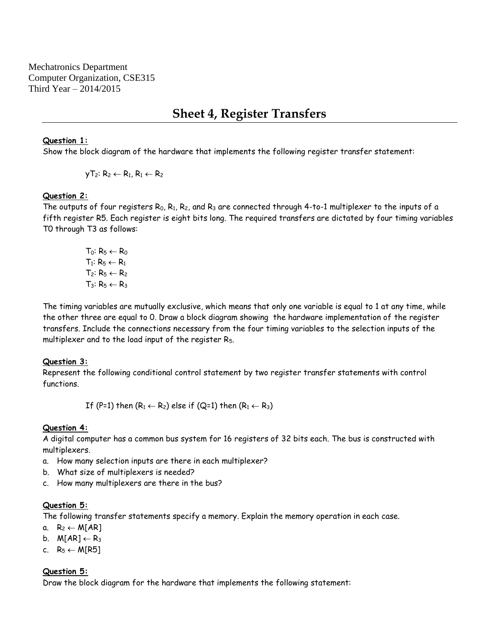Mechatronics Department Computer Organization, CSE315 Third Year – 2014/2015

# **Sheet 4, Register Transfers**

### **Question 1:**

Show the block diagram of the hardware that implements the following register transfer statement:

 $yT_2: R_2 \leftarrow R_1, R_1 \leftarrow R_2$ 

## **Question 2:**

The outputs of four registers R $_0$ , R $_1$ , R $_2$ , and R $_3$  are connected through 4-to-1 multiplexer to the inputs of a fifth register R5. Each register is eight bits long. The required transfers are dictated by four timing variables T0 through T3 as follows:

> T<sub>0</sub>:  $R_5 \leftarrow R_0$  $T_1: R_5 \leftarrow R_1$  $T_2: R_5 \leftarrow R_2$  $T_3: R_5 \leftarrow R_3$

The timing variables are mutually exclusive, which means that only one variable is equal to 1 at any time, while the other three are equal to 0. Draw a block diagram showing the hardware implementation of the register transfers. Include the connections necessary from the four timing variables to the selection inputs of the multiplexer and to the load input of the register R5.

## **Question 3:**

Represent the following conditional control statement by two register transfer statements with control functions.

If (P=1) then  $(R_1 \leftarrow R_2)$  else if (Q=1) then  $(R_1 \leftarrow R_3)$ 

## **Question 4:**

A digital computer has a common bus system for 16 registers of 32 bits each. The bus is constructed with multiplexers.

- a. How many selection inputs are there in each multiplexer?
- b. What size of multiplexers is needed?
- c. How many multiplexers are there in the bus?

#### **Question 5:**

The following transfer statements specify a memory. Explain the memory operation in each case.

- a.  $R_2 \leftarrow M[AR]$
- b.  $M[AR] \leftarrow R_3$
- c.  $R_5 \leftarrow M[R5]$

#### **Question 5:**

Draw the block diagram for the hardware that implements the following statement: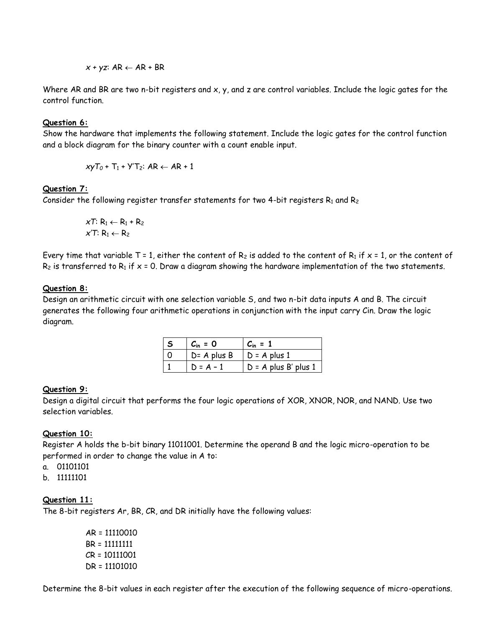$$
x + yz: AR \leftarrow AR + BR
$$

Where AR and BR are two n-bit registers and x, y, and z are control variables. Include the logic gates for the control function.

## **Question 6:**

Show the hardware that implements the following statement. Include the logic gates for the control function and a block diagram for the binary counter with a count enable input.

 $xyT_0 + T_1 + YT_2$ : AR  $\leftarrow$  AR + 1

## **Question 7:**

Consider the following register transfer statements for two 4-bit registers  $R_1$  and  $R_2$ 

 $xT: R_1 \leftarrow R_1 + R_2$  $x^{\prime}$ *T*: R<sub>1</sub>  $\leftarrow$  R<sub>2</sub>

Every time that variable T = 1, either the content of R<sub>2</sub> is added to the content of R<sub>1</sub> if  $x = 1$ , or the content of  $R_2$  is transferred to  $R_1$  if  $x = 0$ . Draw a diagram showing the hardware implementation of the two statements.

## **Question 8:**

Design an arithmetic circuit with one selection variable S, and two n-bit data inputs A and B. The circuit generates the following four arithmetic operations in conjunction with the input carry Cin. Draw the logic diagram.

| $C_{\text{in}} = 0$ | $C_{\rm in} = 1$       |
|---------------------|------------------------|
| $D = A$ plus B      | $D = A$ plus 1         |
| $D = A - 1$         | $D = A$ plus B' plus 1 |

## **Question 9:**

Design a digital circuit that performs the four logic operations of XOR, XNOR, NOR, and NAND. Use two selection variables.

## **Question 10:**

Register A holds the b-bit binary 11011001. Determine the operand B and the logic micro-operation to be performed in order to change the value in A to:

- a. 01101101
- b. 11111101

## **Question 11:**

The 8-bit registers Ar, BR, CR, and DR initially have the following values:

AR = 11110010 BR = 11111111 CR = 10111001 DR = 11101010

Determine the 8-bit values in each register after the execution of the following sequence of micro-operations.